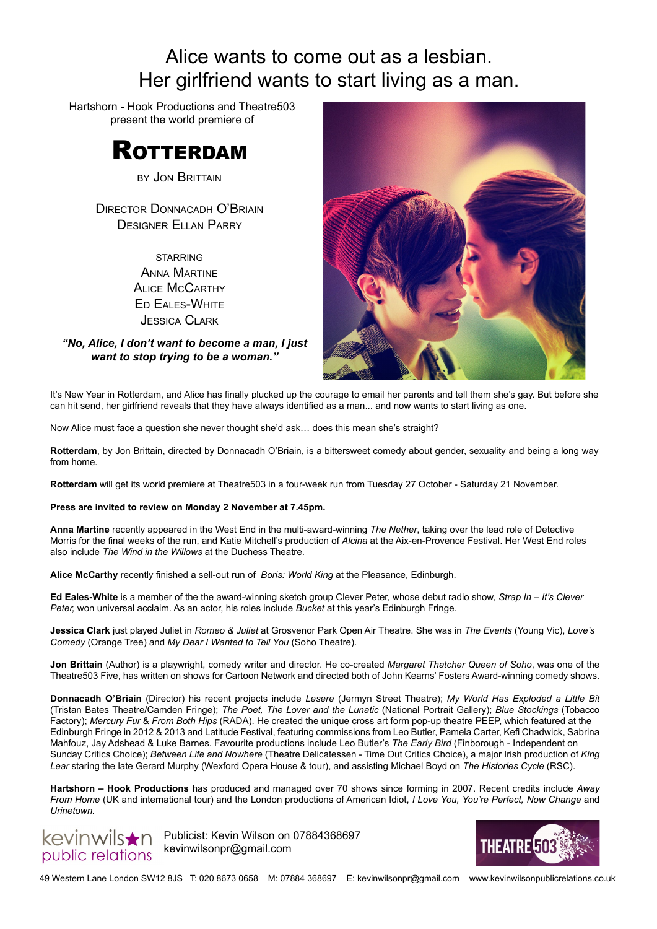# Alice wants to come out as a lesbian. Her girlfriend wants to start living as a man.

Hartshorn - Hook Productions and Theatre503 present the world premiere of



by Jon Brittain

Director Donnacadh O'Briain Designer Ellan Parry

> **STARRING** Anna Martine Alice McCarthy Ed Eales-White Jessica Clark

*"No, Alice, I don't want to become a man, I just want to stop trying to be a woman."*



It's New Year in Rotterdam, and Alice has finally plucked up the courage to email her parents and tell them she's gay. But before she can hit send, her girlfriend reveals that they have always identified as a man... and now wants to start living as one.

Now Alice must face a question she never thought she'd ask… does this mean she's straight?

**Rotterdam**, by Jon Brittain, directed by Donnacadh O'Briain, is a bittersweet comedy about gender, sexuality and being a long way from home.

**Rotterdam** will get its world premiere at Theatre503 in a four-week run from Tuesday 27 October - Saturday 21 November.

**Press are invited to review on Monday 2 November at 7.45pm.** 

**Anna Martine** recently appeared in the West End in the multi-award-winning *The Nether*, taking over the lead role of Detective Morris for the final weeks of the run, and Katie Mitchell's production of *Alcina* at the Aix-en-Provence Festival. Her West End roles also include *The Wind in the Willows* at the Duchess Theatre.

**Alice McCarthy** recently finished a sell-out run of *Boris: World King* at the Pleasance, Edinburgh.

**Ed Eales-White** is a member of the the award-winning sketch group Clever Peter, whose debut radio show, *Strap In – It's Clever Peter,* won universal acclaim. As an actor, his roles include *Bucket* at this year's Edinburgh Fringe.

**Jessica Clark** just played Juliet in *Romeo & Juliet* at Grosvenor Park Open Air Theatre. She was in *The Events* (Young Vic), *Love's Comedy* (Orange Tree) and *My Dear I Wanted to Tell You* (Soho Theatre).

**Jon Brittain** (Author) is a playwright, comedy writer and director. He co-created *Margaret Thatcher Queen of Soho*, was one of the Theatre503 Five, has written on shows for Cartoon Network and directed both of John Kearns' Fosters Award-winning comedy shows.

**Donnacadh O'Briain** (Director) his recent projects include *Lesere* (Jermyn Street Theatre); *My World Has Exploded a Little Bit*  (Tristan Bates Theatre/Camden Fringe); *The Poet, The Lover and the Lunatic* (National Portrait Gallery); *Blue Stockings* (Tobacco Factory); *Mercury Fur* & *From Both Hips* (RADA). He created the unique cross art form pop-up theatre PEEP, which featured at the Edinburgh Fringe in 2012 & 2013 and Latitude Festival, featuring commissions from Leo Butler, Pamela Carter, Kefi Chadwick, Sabrina Mahfouz, Jay Adshead & Luke Barnes. Favourite productions include Leo Butler's *The Early Bird* (Finborough - Independent on Sunday Critics Choice); *Between Life and Nowhere* (Theatre Delicatessen - Time Out Critics Choice), a major Irish production of *King Lear* staring the late Gerard Murphy (Wexford Opera House & tour), and assisting Michael Boyd on *The Histories Cycle* (RSC).

**Hartshorn – Hook Productions** has produced and managed over 70 shows since forming in 2007. Recent credits include *Away From Home* (UK and international tour) and the London productions of American Idiot, *I Love You, You're Perfect, Now Change* and *Urinetown.* 



kevinwils $\bigstar$ n Publicist: Kevin Wilson on 07884368697 kevinwilsonpr@gmail.com



49 Western Lane London SW12 8JS T: 020 8673 0658 M: 07884 368697 E: kevinwilsonpr@gmail.com www.kevinwilsonpublicrelations.co.uk